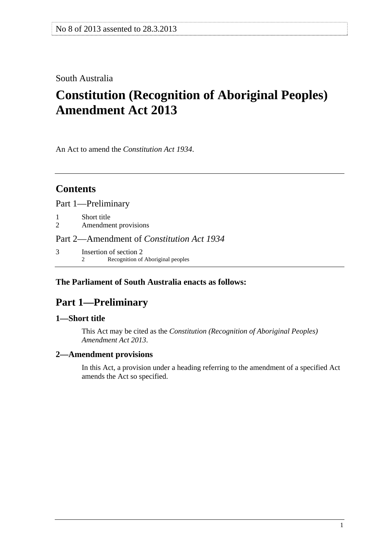### <span id="page-0-0"></span>South Australia

# **Constitution (Recognition of Aboriginal Peoples) Amendment Act 2013**

An Act to amend the *[Constitution Act 1934](http://www.legislation.sa.gov.au/index.aspx?action=legref&type=act&legtitle=Constitution%20Act%201934)*.

# **Contents**

[Part 1—Preliminary](#page-0-0)

[1 Short title](#page-0-0) 

[2 Amendment provisions](#page-0-0) 

[Part 2—Amendment of](#page-1-0) *Constitution Act 1934*

[3 Insertion of section 2](#page-1-0) [2 Recognition of Aboriginal peoples](#page-0-0)

### **The Parliament of South Australia enacts as follows:**

# **Part 1—Preliminary**

### **1—Short title**

This Act may be cited as the *Constitution (Recognition of Aboriginal Peoples) Amendment Act 2013*.

### **2—Amendment provisions**

In this Act, a provision under a heading referring to the amendment of a specified Act amends the Act so specified.